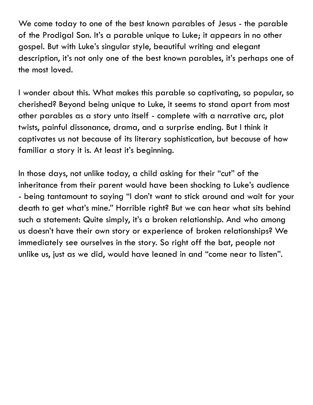We come today to one of the best known parables of Jesus - the parable of the Prodigal Son. It's a parable unique to Luke; it appears in no other gospel. But with Luke's singular style, beautiful writing and elegant description, it's not only one of the best known parables, it's perhaps one of the most loved.

I wonder about this. What makes this parable so captivating, so popular, so cherished? Beyond being unique to Luke, it seems to stand apart from most other parables as a story unto itself - complete with a narrative arc, plot twists, painful dissonance, drama, and a surprise ending. But I think it captivates us not because of its literary sophistication, but because of how familiar a story it is. At least it's beginning.

In those days, not unlike today, a child asking for their "cut" of the inheritance from their parent would have been shocking to Luke's audience - being tantamount to saying "I don't want to stick around and wait for your death to get what's mine." Horrible right? But we can hear what sits behind such a statement: Quite simply, it's a broken relationship. And who among us doesn't have their own story or experience of broken relationships? We immediately see ourselves in the story. So right off the bat, people not unlike us, just as we did, would have leaned in and "come near to listen".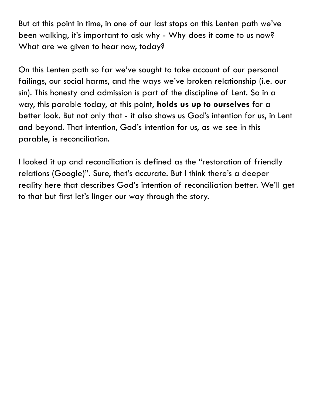But at this point in time, in one of our last stops on this Lenten path we've been walking, it's important to ask why - Why does it come to us now? What are we given to hear now, today?

On this Lenten path so far we've sought to take account of our personal failings, our social harms, and the ways we've broken relationship (i.e. our sin). This honesty and admission is part of the discipline of Lent. So in a way, this parable today, at this point, **holds us up to ourselves** for a better look. But not only that - it also shows us God's intention for us, in Lent and beyond. That intention, God's intention for us, as we see in this parable, is reconciliation.

I looked it up and reconciliation is defined as the "restoration of friendly relations (Google)". Sure, that's accurate. But I think there's a deeper reality here that describes God's intention of reconciliation better. We'll get to that but first let's linger our way through the story.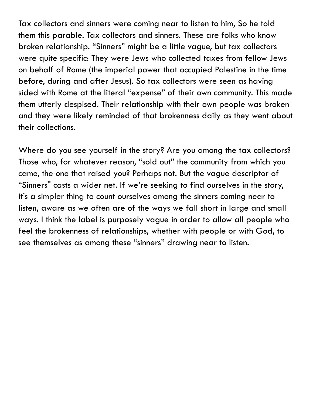Tax collectors and sinners were coming near to listen to him, So he told them this parable. Tax collectors and sinners. These are folks who know broken relationship. "Sinners" might be a little vague, but tax collectors were quite specific: They were Jews who collected taxes from fellow Jews on behalf of Rome (the imperial power that occupied Palestine in the time before, during and after Jesus). So tax collectors were seen as having sided with Rome at the literal "expense" of their own community. This made them utterly despised. Their relationship with their own people was broken and they were likely reminded of that brokenness daily as they went about their collections.

Where do you see yourself in the story? Are you among the tax collectors? Those who, for whatever reason, "sold out" the community from which you came, the one that raised you? Perhaps not. But the vague descriptor of "Sinners'' casts a wider net. If we're seeking to find ourselves in the story, it's a simpler thing to count ourselves among the sinners coming near to listen, aware as we often are of the ways we fall short in large and small ways. I think the label is purposely vague in order to allow all people who feel the brokenness of relationships, whether with people or with God, to see themselves as among these "sinners" drawing near to listen.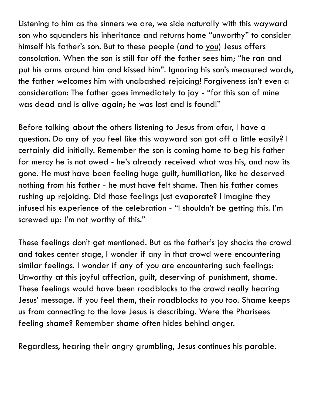Listening to him as the sinners we are, we side naturally with this wayward son who squanders his inheritance and returns home "unworthy" to consider himself his father's son. But to these people (and to you) Jesus offers consolation. When the son is still far off the father sees him; "he ran and put his arms around him and kissed him". Ignoring his son's measured words, the father welcomes him with unabashed rejoicing! Forgiveness isn't even a consideration: The father goes immediately to joy - "for this son of mine was dead and is alive again; he was lost and is found!"

Before talking about the others listening to Jesus from afar, I have a question. Do any of you feel like this wayward son got off a little easily? I certainly did initially. Remember the son is coming home to beg his father for mercy he is not owed - he's already received what was his, and now its gone. He must have been feeling huge guilt, humiliation, like he deserved nothing from his father - he must have felt shame. Then his father comes rushing up rejoicing. Did those feelings just evaporate? I imagine they infused his experience of the celebration - "I shouldn't be getting this. I'm screwed up: I'm not worthy of this."

These feelings don't get mentioned. But as the father's joy shocks the crowd and takes center stage, I wonder if any in that crowd were encountering similar feelings. I wonder if any of you are encountering such feelings: Unworthy at this joyful affection, guilt, deserving of punishment, shame. These feelings would have been roadblocks to the crowd really hearing Jesus' message. If you feel them, their roadblocks to you too. Shame keeps us from connecting to the love Jesus is describing. Were the Pharisees feeling shame? Remember shame often hides behind anger.

Regardless, hearing their angry grumbling, Jesus continues his parable.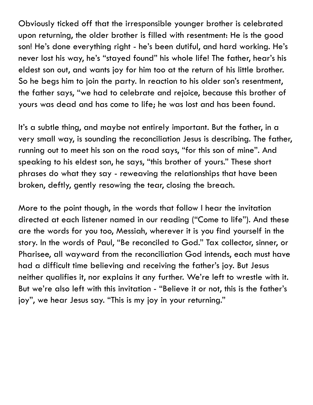Obviously ticked off that the irresponsible younger brother is celebrated upon returning, the older brother is filled with resentment: He is the good son! He's done everything right - he's been dutiful, and hard working. He's never lost his way, he's "stayed found" his whole life! The father, hear's his eldest son out, and wants joy for him too at the return of his little brother. So he begs him to join the party. In reaction to his older son's resentment, the father says, "we had to celebrate and rejoice, because this brother of yours was dead and has come to life; he was lost and has been found.

It's a subtle thing, and maybe not entirely important. But the father, in a very small way, is sounding the reconciliation Jesus is describing. The father, running out to meet his son on the road says, "for this son of mine". And speaking to his eldest son, he says, "this brother of yours." These short phrases do what they say - reweaving the relationships that have been broken, deftly, gently resowing the tear, closing the breach.

More to the point though, in the words that follow I hear the invitation directed at each listener named in our reading ("Come to life"). And these are the words for you too, Messiah, wherever it is you find yourself in the story. In the words of Paul, "Be reconciled to God." Tax collector, sinner, or Pharisee, all wayward from the reconciliation God intends, each must have had a difficult time believing and receiving the father's joy. But Jesus neither qualifies it, nor explains it any further. We're left to wrestle with it. But we're also left with this invitation - "Believe it or not, this is the father's joy", we hear Jesus say. "This is my joy in your returning."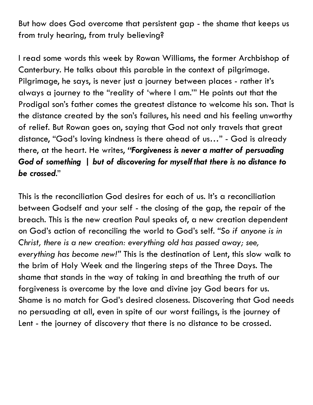But how does God overcome that persistent gap - the shame that keeps us from truly hearing, from truly believing?

I read some words this week by Rowan Williams, the former Archbishop of Canterbury. He talks about this parable in the context of pilgrimage. Pilgrimage, he says, is never just a journey between places - rather it's always a journey to the "reality of 'where I am.'" He points out that the Prodigal son's father comes the greatest distance to welcome his son. That is the distance created by the son's failures, his need and his feeling unworthy of relief. But Rowan goes on, saying that God not only travels that great distance, "God's loving kindness is there ahead of us…" - God is already there, at the heart. He writes, *"Forgiveness is never a matter of persuading God of something* **|** *but of discovering for myself that there is no distance to be crossed*."

This is the reconciliation God desires for each of us. It's a reconciliation between Godself and your self - the closing of the gap, the repair of the breach. This is the new creation Paul speaks of, a new creation dependent on God's action of reconciling the world to God's self. *"So if anyone is in Christ, there is a new creation: everything old has passed away; see, everything has become new!"* This is the destination of Lent, this slow walk to the brim of Holy Week and the lingering steps of the Three Days. The shame that stands in the way of taking in and breathing the truth of our forgiveness is overcome by the love and divine joy God bears for us. Shame is no match for God's desired closeness. Discovering that God needs no persuading at all, even in spite of our worst failings, is the journey of Lent - the journey of discovery that there is no distance to be crossed.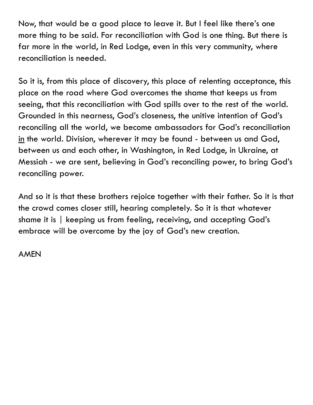Now, that would be a good place to leave it. But I feel like there's one more thing to be said. For reconciliation with God is one thing. But there is far more in the world, in Red Lodge, even in this very community, where reconciliation is needed.

So it is, from this place of discovery, this place of relenting acceptance, this place on the road where God overcomes the shame that keeps us from seeing, that this reconciliation with God spills over to the rest of the world. Grounded in this nearness, God's closeness, the unitive intention of God's reconciling all the world, we become ambassadors for God's reconciliation in the world. Division, wherever it may be found - between us and God, between us and each other, in Washington, in Red Lodge, in Ukraine, at Messiah - we are sent, believing in God's reconciling power, to bring God's reconciling power.

And so it is that these brothers rejoice together with their father. So it is that the crowd comes closer still, hearing completely. So it is that whatever shame it is | keeping us from feeling, receiving, and accepting God's embrace will be overcome by the joy of God's new creation.

AMEN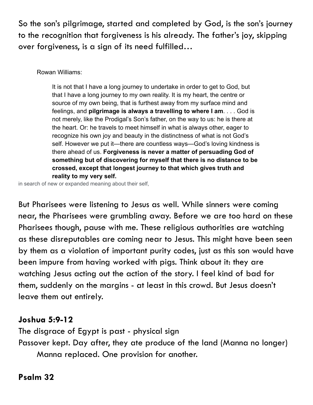So the son's pilgrimage, started and completed by God, is the son's journey to the recognition that forgiveness is his already. The father's joy, skipping over forgiveness, is a sign of its need fulfilled…

#### Rowan Williams:

It is not that I have a long journey to undertake in order to get to God, but that I have a long journey to my own reality. It is my heart, the centre or source of my own being, that is furthest away from my surface mind and feelings, and **pilgrimage is always a travelling to where I am**. . . . God is not merely, like the Prodigal's Son's father, on the way to us: he is there at the heart. Or: he travels to meet himself in what is always other, eager to recognize his own joy and beauty in the distinctness of what is not God's self. However we put it—there are countless ways—God's loving kindness is there ahead of us. **Forgiveness is never a matter of persuading God of something but of discovering for myself that there is no distance to be crossed, except that longest journey to that which gives truth and reality to my very self.**

in search of new or expanded meaning about their self,

But Pharisees were listening to Jesus as well. While sinners were coming near, the Pharisees were grumbling away. Before we are too hard on these Pharisees though, pause with me. These religious authorities are watching as these disreputables are coming near to Jesus. This might have been seen by them as a violation of important purity codes, just as this son would have been impure from having worked with pigs. Think about it: they are watching Jesus acting out the action of the story. I feel kind of bad for them, suddenly on the margins - at least in this crowd. But Jesus doesn't leave them out entirely.

## **Joshua 5:9-12**

The disgrace of Egypt is past - physical sign Passover kept. Day after, they ate produce of the land (Manna no longer) Manna replaced. One provision for another.

## **Psalm 32**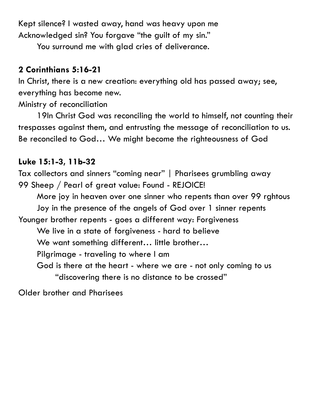Kept silence? I wasted away, hand was heavy upon me Acknowledged sin? You forgave "the guilt of my sin."

You surround me with glad cries of deliverance.

## **2 Corinthians 5:16-21**

In Christ, there is a new creation: everything old has passed away; see, everything has become new.

Ministry of reconciliation

19In Christ God was reconciling the world to himself, not counting their trespasses against them, and entrusting the message of reconciliation to us. Be reconciled to God… We might become the righteousness of God

# **Luke 15:1-3, 11b-32**

Tax collectors and sinners "coming near" | Pharisees grumbling away 99 Sheep / Pearl of great value: Found - REJOICE! More joy in heaven over one sinner who repents than over 99 rghtous Joy in the presence of the angels of God over 1 sinner repents Younger brother repents - goes a different way: Forgiveness We live in a state of forgiveness - hard to believe We want something different... little brother... Pilgrimage - traveling to where I am God is there at the heart - where we are - not only coming to us "discovering there is no distance to be crossed"

Older brother and Pharisees